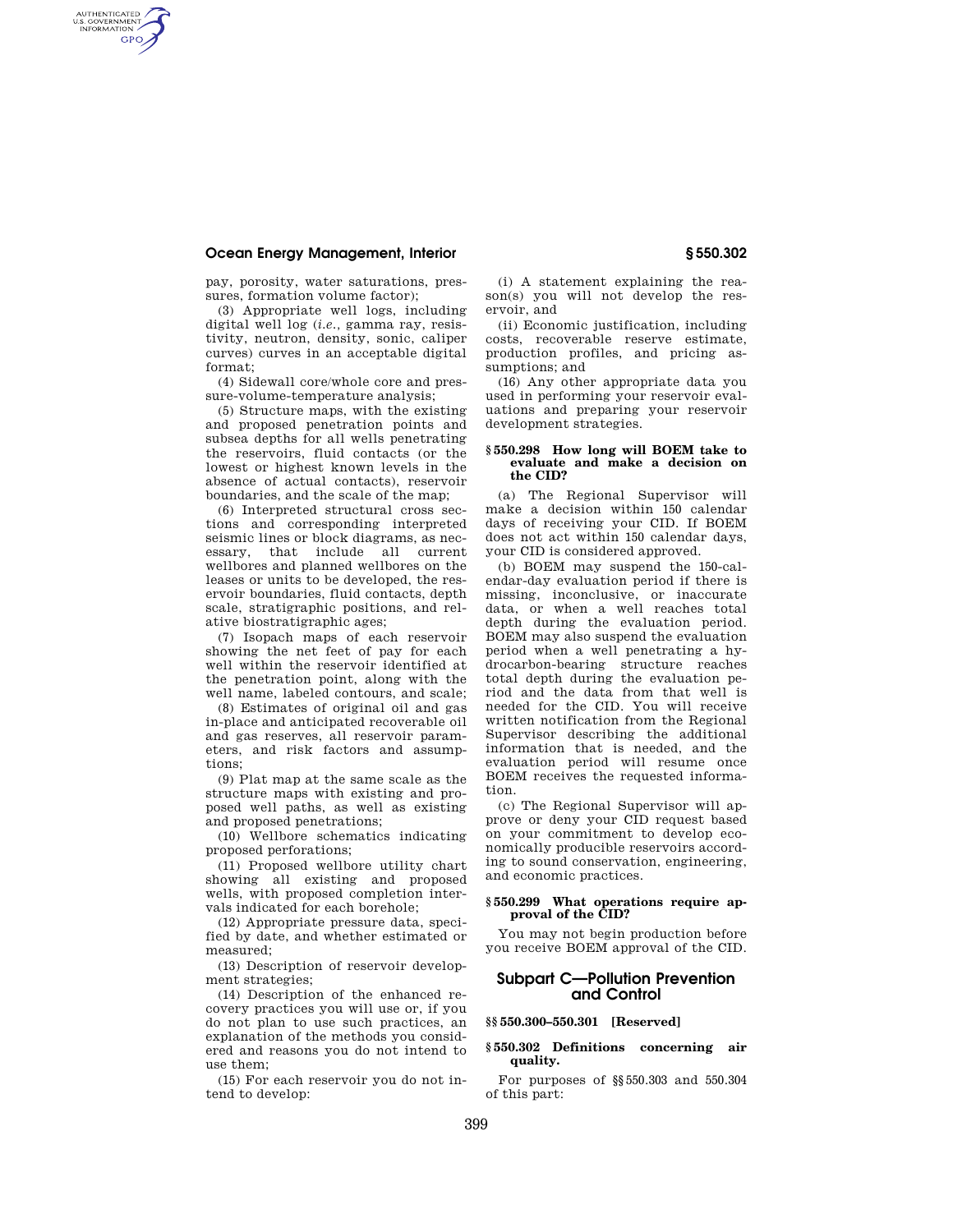AUTHENTICATED<br>U.S. GOVERNMENT<br>INFORMATION **GPO** 

> pay, porosity, water saturations, pressures, formation volume factor);

> (3) Appropriate well logs, including digital well log (*i.e.,* gamma ray, resistivity, neutron, density, sonic, caliper curves) curves in an acceptable digital format;

> (4) Sidewall core/whole core and pressure-volume-temperature analysis;

(5) Structure maps, with the existing and proposed penetration points and subsea depths for all wells penetrating the reservoirs, fluid contacts (or the lowest or highest known levels in the absence of actual contacts), reservoir boundaries, and the scale of the map;

(6) Interpreted structural cross sections and corresponding interpreted seismic lines or block diagrams, as necessary, that include all current wellbores and planned wellbores on the leases or units to be developed, the reservoir boundaries, fluid contacts, depth scale, stratigraphic positions, and relative biostratigraphic ages;

(7) Isopach maps of each reservoir showing the net feet of pay for each well within the reservoir identified at the penetration point, along with the well name, labeled contours, and scale;

(8) Estimates of original oil and gas in-place and anticipated recoverable oil and gas reserves, all reservoir parameters, and risk factors and assumptions;

(9) Plat map at the same scale as the structure maps with existing and proposed well paths, as well as existing and proposed penetrations;

(10) Wellbore schematics indicating proposed perforations;

(11) Proposed wellbore utility chart showing all existing and proposed wells, with proposed completion intervals indicated for each borehole;

(12) Appropriate pressure data, specified by date, and whether estimated or measured;

(13) Description of reservoir development strategies;

(14) Description of the enhanced recovery practices you will use or, if you do not plan to use such practices, an explanation of the methods you considered and reasons you do not intend to use them;

(15) For each reservoir you do not intend to develop:

(i) A statement explaining the reason(s) you will not develop the reservoir, and

(ii) Economic justification, including costs, recoverable reserve estimate, production profiles, and pricing assumptions; and

(16) Any other appropriate data you used in performing your reservoir evaluations and preparing your reservoir development strategies.

#### **§ 550.298 How long will BOEM take to evaluate and make a decision on the CID?**

(a) The Regional Supervisor will make a decision within 150 calendar days of receiving your CID. If BOEM does not act within 150 calendar days, your CID is considered approved.

(b) BOEM may suspend the 150-calendar-day evaluation period if there is missing, inconclusive, or inaccurate data, or when a well reaches total depth during the evaluation period. BOEM may also suspend the evaluation period when a well penetrating a hydrocarbon-bearing structure reaches total depth during the evaluation period and the data from that well is needed for the CID. You will receive written notification from the Regional Supervisor describing the additional information that is needed, and the evaluation period will resume once BOEM receives the requested information.

(c) The Regional Supervisor will approve or deny your CID request based on your commitment to develop economically producible reservoirs according to sound conservation, engineering, and economic practices.

#### **§ 550.299 What operations require approval of the CID?**

You may not begin production before you receive BOEM approval of the CID.

## **Subpart C—Pollution Prevention and Control**

#### **§§ 550.300–550.301 [Reserved]**

## **§ 550.302 Definitions concerning air quality.**

For purposes of §§550.303 and 550.304 of this part: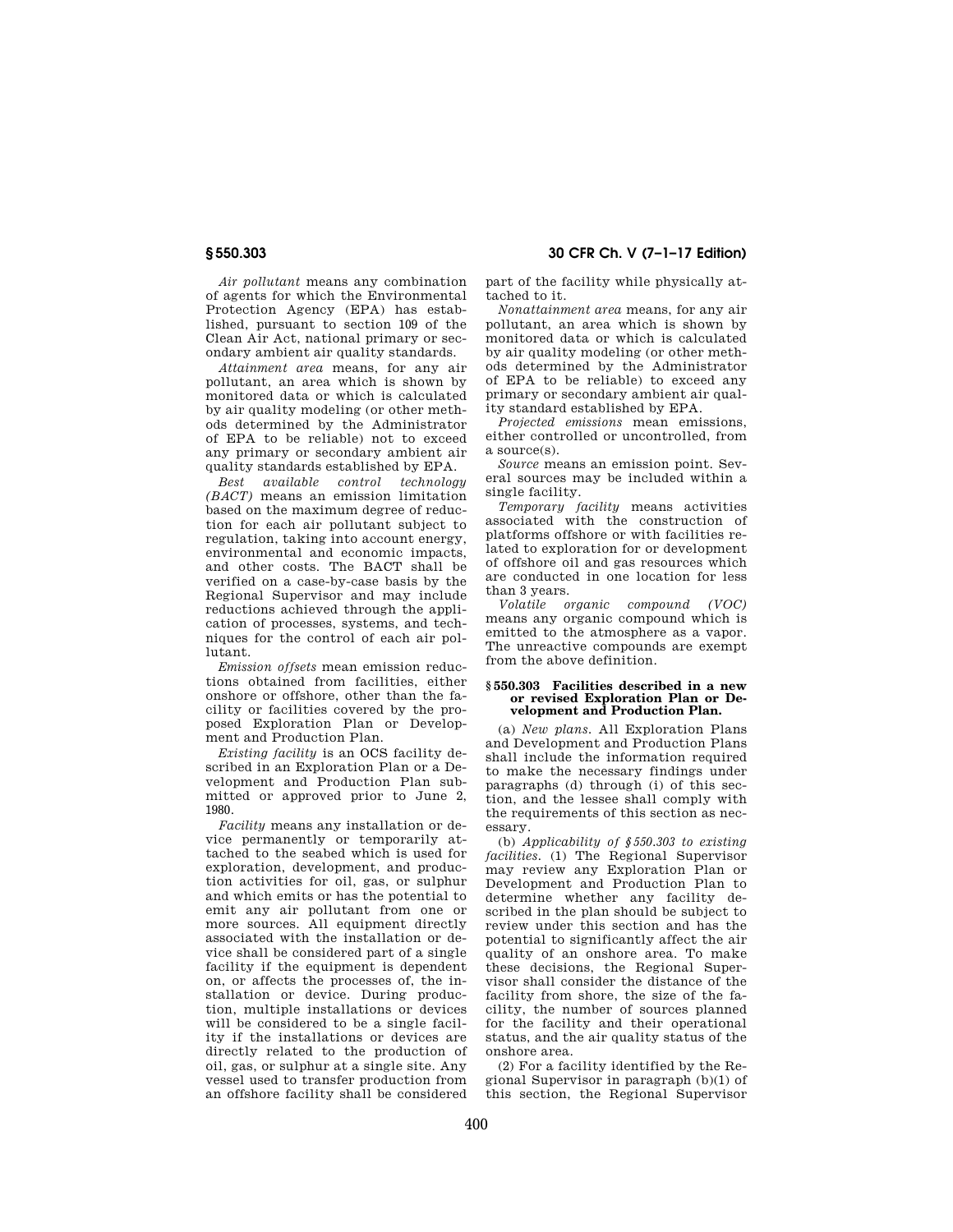**§ 550.303 30 CFR Ch. V (7–1–17 Edition)** 

*Air pollutant* means any combination of agents for which the Environmental Protection Agency (EPA) has established, pursuant to section 109 of the Clean Air Act, national primary or secondary ambient air quality standards.

*Attainment area* means, for any air pollutant, an area which is shown by monitored data or which is calculated by air quality modeling (or other methods determined by the Administrator of EPA to be reliable) not to exceed any primary or secondary ambient air quality standards established by EPA.

*Best available control technology (BACT)* means an emission limitation based on the maximum degree of reduction for each air pollutant subject to regulation, taking into account energy, environmental and economic impacts, and other costs. The BACT shall be verified on a case-by-case basis by the Regional Supervisor and may include reductions achieved through the application of processes, systems, and techniques for the control of each air pollutant.

*Emission offsets* mean emission reductions obtained from facilities, either onshore or offshore, other than the facility or facilities covered by the proposed Exploration Plan or Development and Production Plan.

*Existing facility* is an OCS facility described in an Exploration Plan or a Development and Production Plan submitted or approved prior to June 2, 1980.

*Facility* means any installation or device permanently or temporarily attached to the seabed which is used for exploration, development, and production activities for oil, gas, or sulphur and which emits or has the potential to emit any air pollutant from one or more sources. All equipment directly associated with the installation or device shall be considered part of a single facility if the equipment is dependent on, or affects the processes of, the installation or device. During production, multiple installations or devices will be considered to be a single facility if the installations or devices are directly related to the production of oil, gas, or sulphur at a single site. Any vessel used to transfer production from an offshore facility shall be considered

part of the facility while physically attached to it.

*Nonattainment area* means, for any air pollutant, an area which is shown by monitored data or which is calculated by air quality modeling (or other methods determined by the Administrator of EPA to be reliable) to exceed any primary or secondary ambient air quality standard established by EPA.

*Projected emissions* mean emissions, either controlled or uncontrolled, from a source(s).

*Source* means an emission point. Several sources may be included within a single facility.

*Temporary facility* means activities associated with the construction of platforms offshore or with facilities related to exploration for or development of offshore oil and gas resources which are conducted in one location for less than 3 years.

*Volatile organic compound (VOC)*  means any organic compound which is emitted to the atmosphere as a vapor. The unreactive compounds are exempt from the above definition.

#### **§ 550.303 Facilities described in a new or revised Exploration Plan or Development and Production Plan.**

(a) *New plans.* All Exploration Plans and Development and Production Plans shall include the information required to make the necessary findings under paragraphs (d) through (i) of this section, and the lessee shall comply with the requirements of this section as necessary.

(b) *Applicability of §550.303 to existing facilities.* (1) The Regional Supervisor may review any Exploration Plan or Development and Production Plan to determine whether any facility described in the plan should be subject to review under this section and has the potential to significantly affect the air quality of an onshore area. To make these decisions, the Regional Supervisor shall consider the distance of the facility from shore, the size of the facility, the number of sources planned for the facility and their operational status, and the air quality status of the onshore area.

(2) For a facility identified by the Regional Supervisor in paragraph (b)(1) of this section, the Regional Supervisor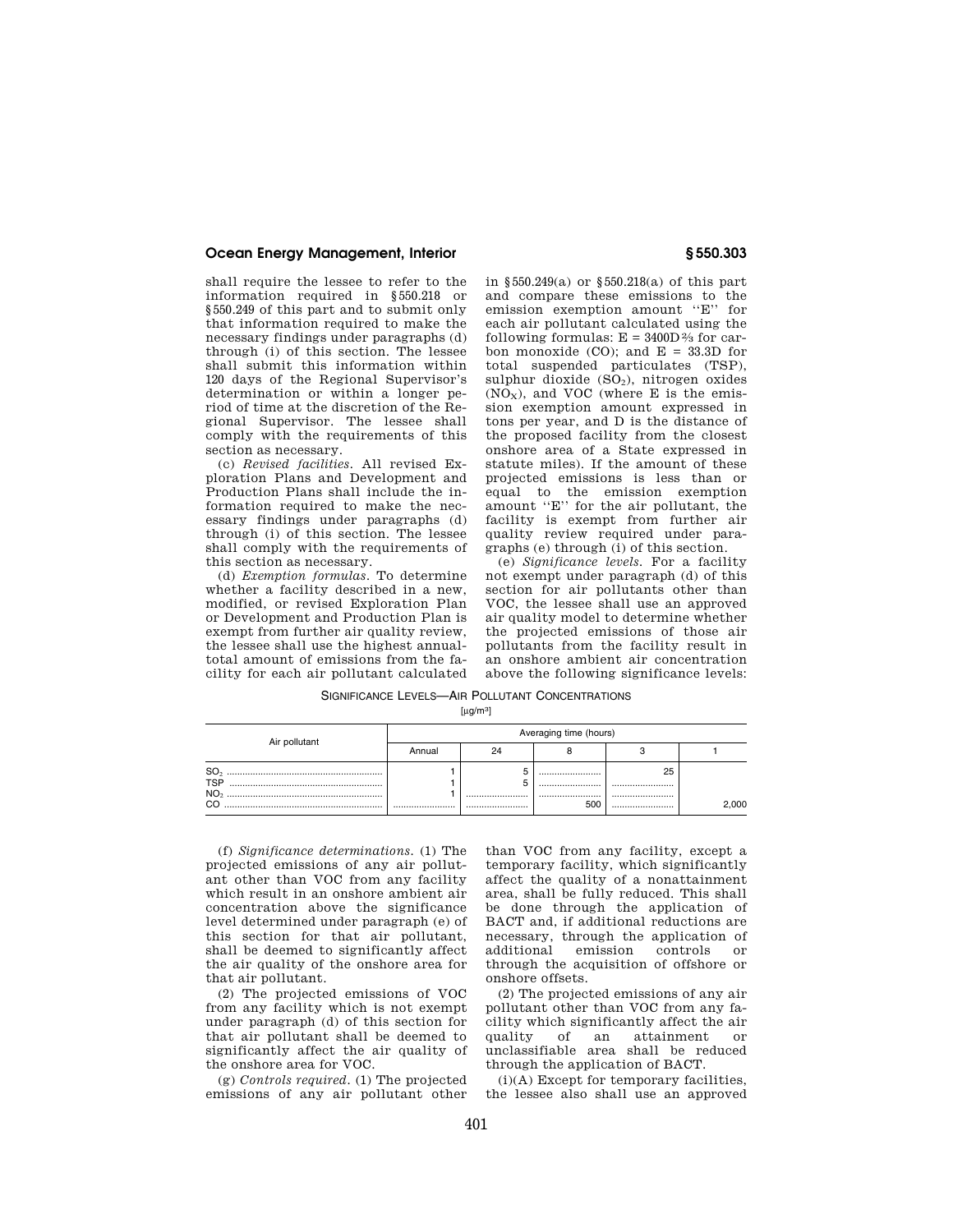shall require the lessee to refer to the information required in §550.218 or §550.249 of this part and to submit only that information required to make the necessary findings under paragraphs (d) through (i) of this section. The lessee shall submit this information within 120 days of the Regional Supervisor's determination or within a longer period of time at the discretion of the Regional Supervisor. The lessee shall comply with the requirements of this section as necessary.

(c) *Revised facilities.* All revised Exploration Plans and Development and Production Plans shall include the information required to make the necessary findings under paragraphs (d) through (i) of this section. The lessee shall comply with the requirements of this section as necessary.

(d) *Exemption formulas.* To determine whether a facility described in a new, modified, or revised Exploration Plan or Development and Production Plan is exempt from further air quality review, the lessee shall use the highest annualtotal amount of emissions from the facility for each air pollutant calculated in §550.249(a) or §550.218(a) of this part and compare these emissions to the emission exemption amount ''E'' for each air pollutant calculated using the following formulas:  $E = 3400D\frac{2}{3}$  for carbon monoxide (CO); and  $E = 33.3D$  for total suspended particulates (TSP), sulphur dioxide  $(SO<sub>2</sub>)$ , nitrogen oxides  $(NO<sub>x</sub>)$ , and VOC (where E is the emission exemption amount expressed in tons per year, and D is the distance of the proposed facility from the closest onshore area of a State expressed in statute miles). If the amount of these projected emissions is less than or equal to the emission exemption amount ''E'' for the air pollutant, the facility is exempt from further air quality review required under paragraphs (e) through (i) of this section.

(e) *Significance levels.* For a facility not exempt under paragraph (d) of this section for air pollutants other than VOC, the lessee shall use an approved air quality model to determine whether the projected emissions of those air pollutants from the facility result in an onshore ambient air concentration above the following significance levels:

SIGNIFICANCE LEVELS-AIR POLLUTANT CONCENTRATIONS

 $[µq/m3]$ 

| Air pollutant           | Averaging time (hours) |  |          |            |       |
|-------------------------|------------------------|--|----------|------------|-------|
|                         | Annual                 |  |          |            |       |
| <b>TSP</b><br><b>NO</b> |                        |  | <br><br> | 25<br><br> |       |
|                         |                        |  |          |            | 2.000 |

(f) *Significance determinations.* (1) The projected emissions of any air pollutant other than VOC from any facility which result in an onshore ambient air concentration above the significance level determined under paragraph (e) of this section for that air pollutant, shall be deemed to significantly affect the air quality of the onshore area for that air pollutant.

(2) The projected emissions of VOC from any facility which is not exempt under paragraph (d) of this section for that air pollutant shall be deemed to significantly affect the air quality of the onshore area for VOC.

(g) *Controls required.* (1) The projected emissions of any air pollutant other

than VOC from any facility, except a temporary facility, which significantly affect the quality of a nonattainment area, shall be fully reduced. This shall be done through the application of BACT and, if additional reductions are necessary, through the application of additional emission controls or through the acquisition of offshore or onshore offsets.

(2) The projected emissions of any air pollutant other than VOC from any facility which significantly affect the air quality of an attainment or unclassifiable area shall be reduced through the application of BACT.

(i)(A) Except for temporary facilities, the lessee also shall use an approved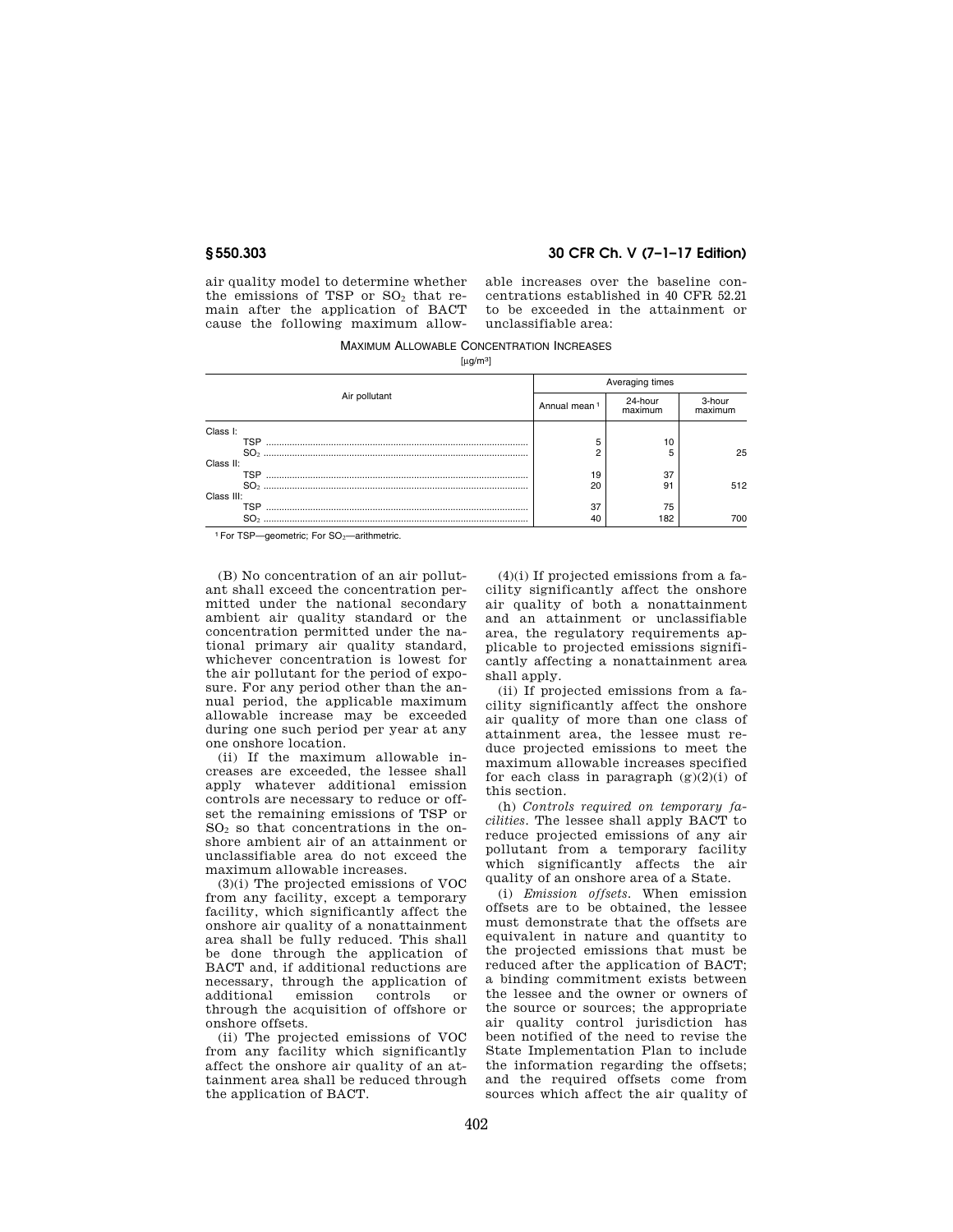## **§ 550.303 30 CFR Ch. V (7–1–17 Edition)**

air quality model to determine whether the emissions of TSP or  $SO<sub>2</sub>$  that remain after the application of BACT cause the following maximum allowable increases over the baseline concentrations established in 40 CFR 52.21 to be exceeded in the attainment or unclassifiable area:

MAXIMUM ALLOWABLE CONCENTRATION INCREASES  $[\mu g/m^3]$ 

|               | Averaging times          |                    |                   |
|---------------|--------------------------|--------------------|-------------------|
| Air pollutant | Annual mean <sup>1</sup> | 24-hour<br>maximum | 3-hour<br>maximum |
| Class I:      |                          |                    |                   |
| TSP           | 5                        | 10                 |                   |
|               | n                        |                    | 25                |
| Class II:     |                          |                    |                   |
| TSP           | 19                       | 37                 |                   |
|               | 20                       | 91                 | 512               |
| Class III:    |                          |                    |                   |
| TSP           | 37                       | 75                 |                   |
|               | 40                       | 182                | 700               |

1 For TSP-geometric: For SO<sub>2</sub>-arithmetric.

(B) No concentration of an air pollutant shall exceed the concentration permitted under the national secondary ambient air quality standard or the concentration permitted under the national primary air quality standard, whichever concentration is lowest for the air pollutant for the period of exposure. For any period other than the annual period, the applicable maximum allowable increase may be exceeded during one such period per year at any one onshore location.

(ii) If the maximum allowable increases are exceeded, the lessee shall apply whatever additional emission controls are necessary to reduce or offset the remaining emissions of TSP or SO<sup>2</sup> so that concentrations in the onshore ambient air of an attainment or unclassifiable area do not exceed the maximum allowable increases.

(3)(i) The projected emissions of VOC from any facility, except a temporary facility, which significantly affect the onshore air quality of a nonattainment area shall be fully reduced. This shall be done through the application of BACT and, if additional reductions are necessary, through the application of<br>additional emission controls or emission controls or through the acquisition of offshore or onshore offsets.

(ii) The projected emissions of VOC from any facility which significantly affect the onshore air quality of an attainment area shall be reduced through the application of BACT.

(4)(i) If projected emissions from a facility significantly affect the onshore air quality of both a nonattainment and an attainment or unclassifiable area, the regulatory requirements applicable to projected emissions significantly affecting a nonattainment area shall apply.

(ii) If projected emissions from a facility significantly affect the onshore air quality of more than one class of attainment area, the lessee must reduce projected emissions to meet the maximum allowable increases specified for each class in paragraph  $(g)(2)(i)$  of this section.

(h) *Controls required on temporary facilities.* The lessee shall apply BACT to reduce projected emissions of any air pollutant from a temporary facility which significantly affects the air quality of an onshore area of a State.

(i) *Emission offsets.* When emission offsets are to be obtained, the lessee must demonstrate that the offsets are equivalent in nature and quantity to the projected emissions that must be reduced after the application of BACT; a binding commitment exists between the lessee and the owner or owners of the source or sources; the appropriate air quality control jurisdiction has been notified of the need to revise the State Implementation Plan to include the information regarding the offsets; and the required offsets come from sources which affect the air quality of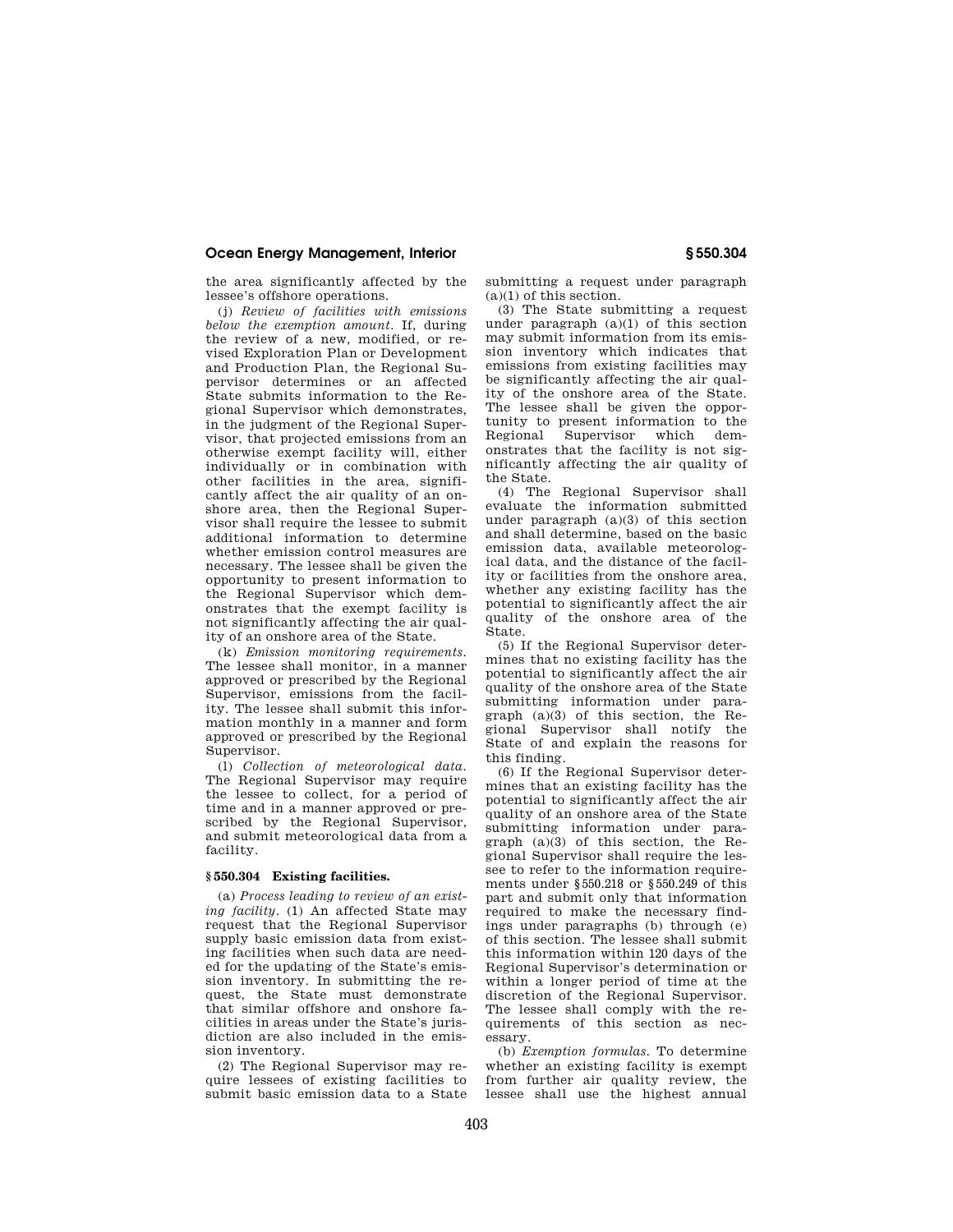the area significantly affected by the lessee's offshore operations.

(j) *Review of facilities with emissions below the exemption amount.* If, during the review of a new, modified, or revised Exploration Plan or Development and Production Plan, the Regional Supervisor determines or an affected State submits information to the Regional Supervisor which demonstrates, in the judgment of the Regional Supervisor, that projected emissions from an otherwise exempt facility will, either individually or in combination with other facilities in the area, significantly affect the air quality of an onshore area, then the Regional Supervisor shall require the lessee to submit additional information to determine whether emission control measures are necessary. The lessee shall be given the opportunity to present information to the Regional Supervisor which demonstrates that the exempt facility is not significantly affecting the air quality of an onshore area of the State.

(k) *Emission monitoring requirements.*  The lessee shall monitor, in a manner approved or prescribed by the Regional Supervisor, emissions from the facility. The lessee shall submit this information monthly in a manner and form approved or prescribed by the Regional Supervisor.

(l) *Collection of meteorological data.*  The Regional Supervisor may require the lessee to collect, for a period of time and in a manner approved or prescribed by the Regional Supervisor, and submit meteorological data from a facility.

#### **§ 550.304 Existing facilities.**

(a) *Process leading to review of an existing facility.* (1) An affected State may request that the Regional Supervisor supply basic emission data from existing facilities when such data are needed for the updating of the State's emission inventory. In submitting the request, the State must demonstrate that similar offshore and onshore facilities in areas under the State's jurisdiction are also included in the emission inventory.

(2) The Regional Supervisor may require lessees of existing facilities to submit basic emission data to a State submitting a request under paragraph (a)(1) of this section.

(3) The State submitting a request under paragraph  $(a)(1)$  of this section may submit information from its emission inventory which indicates that emissions from existing facilities may be significantly affecting the air quality of the onshore area of the State. The lessee shall be given the opportunity to present information to the<br>Regional Supervisor which dem-Supervisor onstrates that the facility is not significantly affecting the air quality of the State.

(4) The Regional Supervisor shall evaluate the information submitted under paragraph (a)(3) of this section and shall determine, based on the basic emission data, available meteorological data, and the distance of the facility or facilities from the onshore area, whether any existing facility has the potential to significantly affect the air quality of the onshore area of the State.

(5) If the Regional Supervisor determines that no existing facility has the potential to significantly affect the air quality of the onshore area of the State submitting information under paragraph  $(a)(3)$  of this section, the Regional Supervisor shall notify the State of and explain the reasons for this finding.

(6) If the Regional Supervisor determines that an existing facility has the potential to significantly affect the air quality of an onshore area of the State submitting information under paragraph (a)(3) of this section, the Regional Supervisor shall require the lessee to refer to the information requirements under §550.218 or §550.249 of this part and submit only that information required to make the necessary findings under paragraphs (b) through (e) of this section. The lessee shall submit this information within 120 days of the Regional Supervisor's determination or within a longer period of time at the discretion of the Regional Supervisor. The lessee shall comply with the requirements of this section as necessary.

(b) *Exemption formulas.* To determine whether an existing facility is exempt from further air quality review, the lessee shall use the highest annual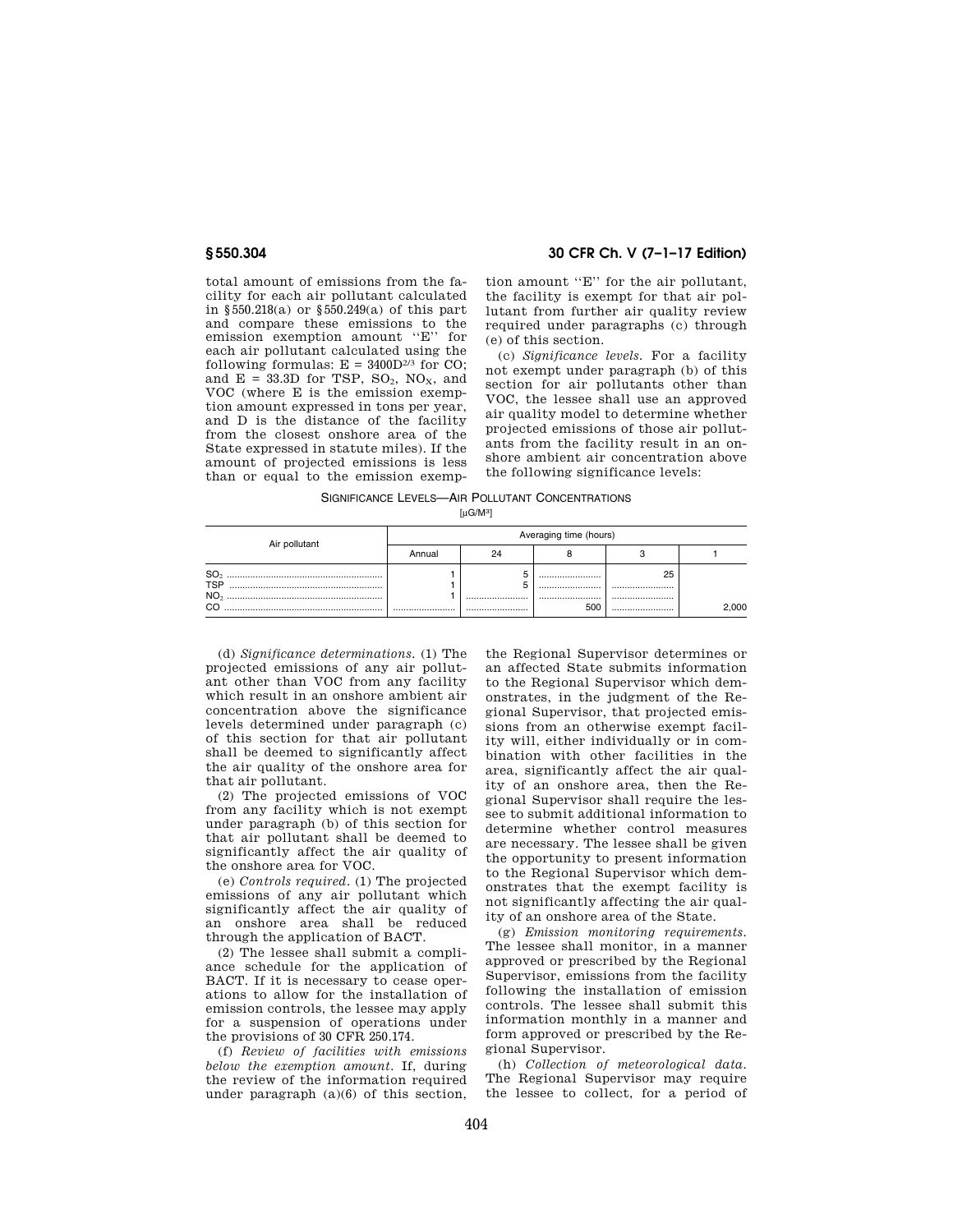**§ 550.304 30 CFR Ch. V (7–1–17 Edition)** 

total amount of emissions from the facility for each air pollutant calculated in §550.218(a) or §550.249(a) of this part and compare these emissions to the emission exemption amount ''E'' for each air pollutant calculated using the following formulas:  $E = 3400D^{2/3}$  for CO; and  $E = 33.3D$  for TSP, SO<sub>2</sub>, NO<sub>x</sub>, and VOC (where E is the emission exemption amount expressed in tons per year, and D is the distance of the facility from the closest onshore area of the State expressed in statute miles). If the amount of projected emissions is less than or equal to the emission exemp-

tion amount ''E'' for the air pollutant, the facility is exempt for that air pollutant from further air quality review required under paragraphs (c) through (e) of this section.

(c) *Significance levels.* For a facility not exempt under paragraph (b) of this section for air pollutants other than VOC, the lessee shall use an approved air quality model to determine whether projected emissions of those air pollutants from the facility result in an onshore ambient air concentration above the following significance levels:

SIGNIFICANCE LEVELS—AIR POLLUTANT CONCENTRATIONS

| [µG/M <sup>3]</sup> |
|---------------------|
|---------------------|

| Air pollutant                                    | Averaging time (hours) |      |          |                |       |
|--------------------------------------------------|------------------------|------|----------|----------------|-------|
|                                                  | Annual                 | 24   |          |                |       |
| <b>SO</b><br><b>TSP</b><br>NO <sub>2</sub><br>cс |                        | <br> | <br><br> | 25<br><br><br> | 2,000 |

(d) *Significance determinations.* (1) The projected emissions of any air pollutant other than VOC from any facility which result in an onshore ambient air concentration above the significance levels determined under paragraph (c) of this section for that air pollutant shall be deemed to significantly affect the air quality of the onshore area for that air pollutant.

(2) The projected emissions of VOC from any facility which is not exempt under paragraph (b) of this section for that air pollutant shall be deemed to significantly affect the air quality of the onshore area for VOC.

(e) *Controls required.* (1) The projected emissions of any air pollutant which significantly affect the air quality of an onshore area shall be reduced through the application of BACT.

(2) The lessee shall submit a compliance schedule for the application of BACT. If it is necessary to cease operations to allow for the installation of emission controls, the lessee may apply for a suspension of operations under the provisions of 30 CFR 250.174.

(f) *Review of facilities with emissions below the exemption amount.* If, during the review of the information required under paragraph (a)(6) of this section, the Regional Supervisor determines or an affected State submits information to the Regional Supervisor which demonstrates, in the judgment of the Regional Supervisor, that projected emissions from an otherwise exempt facility will, either individually or in combination with other facilities in the area, significantly affect the air quality of an onshore area, then the Regional Supervisor shall require the lessee to submit additional information to determine whether control measures are necessary. The lessee shall be given the opportunity to present information to the Regional Supervisor which demonstrates that the exempt facility is not significantly affecting the air quality of an onshore area of the State.

(g) *Emission monitoring requirements.*  The lessee shall monitor, in a manner approved or prescribed by the Regional Supervisor, emissions from the facility following the installation of emission controls. The lessee shall submit this information monthly in a manner and form approved or prescribed by the Regional Supervisor.

(h) *Collection of meteorological data.*  The Regional Supervisor may require the lessee to collect, for a period of